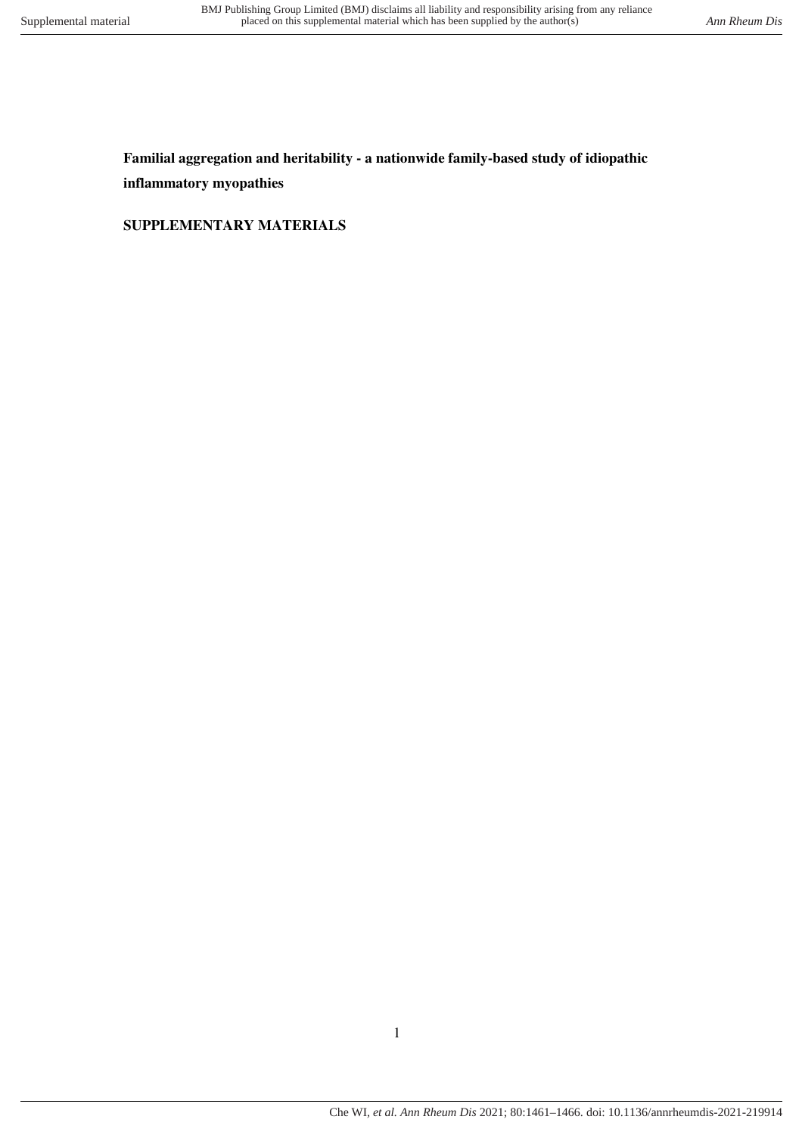**Familial aggregation and heritability - a nationwide family-based study of idiopathic inflammatory myopathies** 

**SUPPLEMENTARY MATERIALS**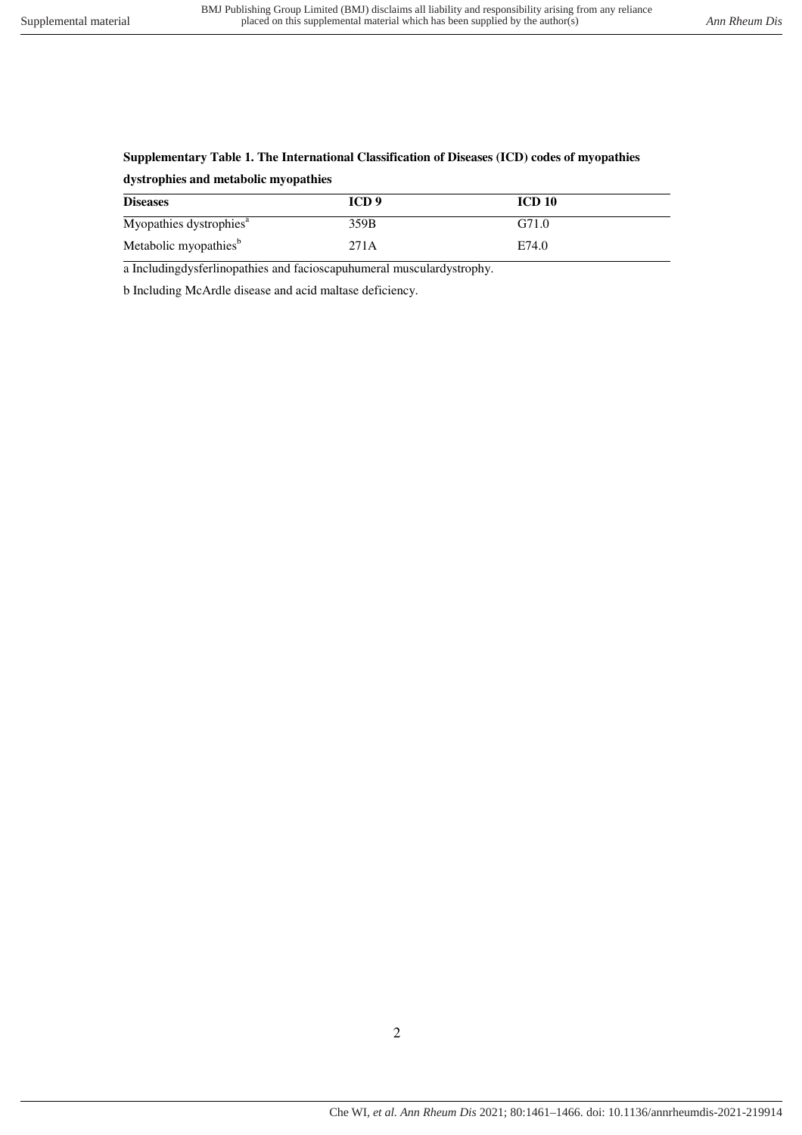# **Supplementary Table 1. The International Classification of Diseases (ICD) codes of myopathies dystrophies and metabolic myopathies**

| <b>Diseases</b>                     | ICD 9 | <b>ICD 10</b> |
|-------------------------------------|-------|---------------|
| Myopathies dystrophies <sup>a</sup> | 359B  | G71.0         |
| Metabolic myopathies <sup>b</sup>   | 271A  | E74.0         |

a Includingdysferlinopathies and facioscapuhumeral musculardystrophy.

b Including McArdle disease and acid maltase deficiency.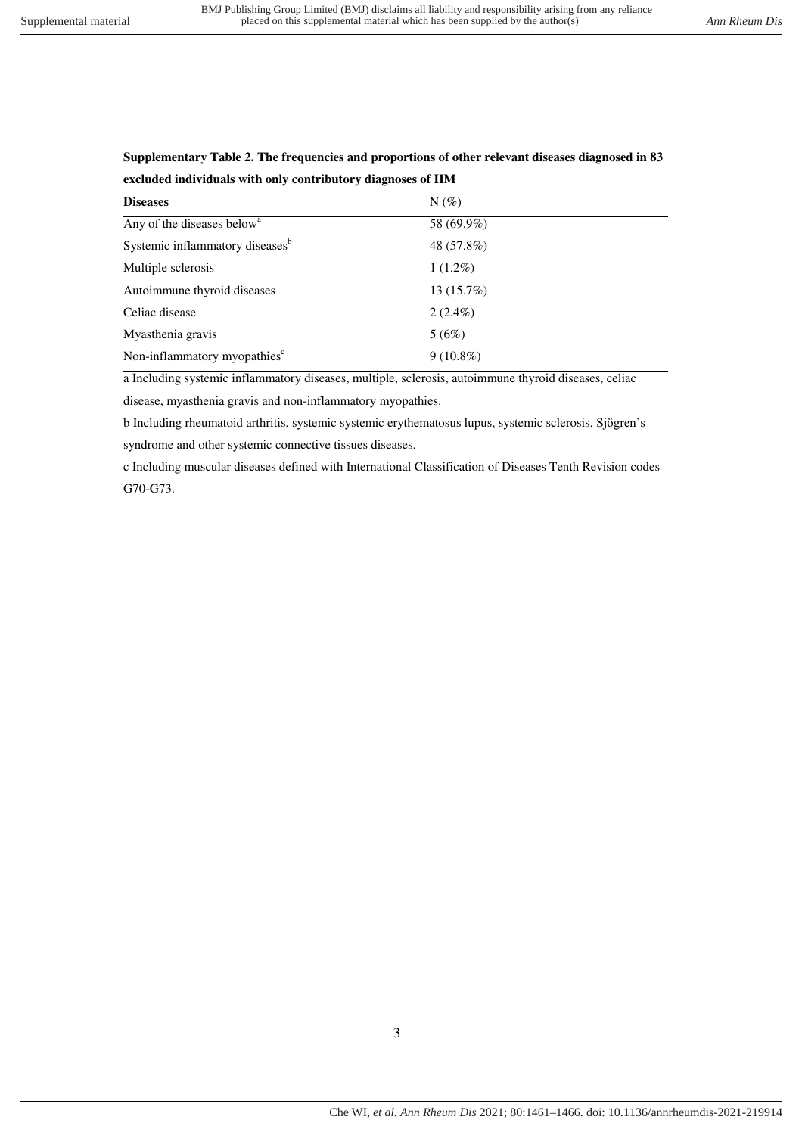## **Supplementary Table 2. The frequencies and proportions of other relevant diseases diagnosed in 83 excluded individuals with only contributory diagnoses of IIM**

| 58 (69.9%)  |
|-------------|
| 48 (57.8%)  |
| $1(1.2\%)$  |
| 13(15.7%)   |
| $2(2.4\%)$  |
|             |
| $9(10.8\%)$ |
|             |

a Including systemic inflammatory diseases, multiple, sclerosis, autoimmune thyroid diseases, celiac

disease, myasthenia gravis and non-inflammatory myopathies.

b Including rheumatoid arthritis, systemic systemic erythematosus lupus, systemic sclerosis, Sjögren's syndrome and other systemic connective tissues diseases.

c Including muscular diseases defined with International Classification of Diseases Tenth Revision codes G70-G73.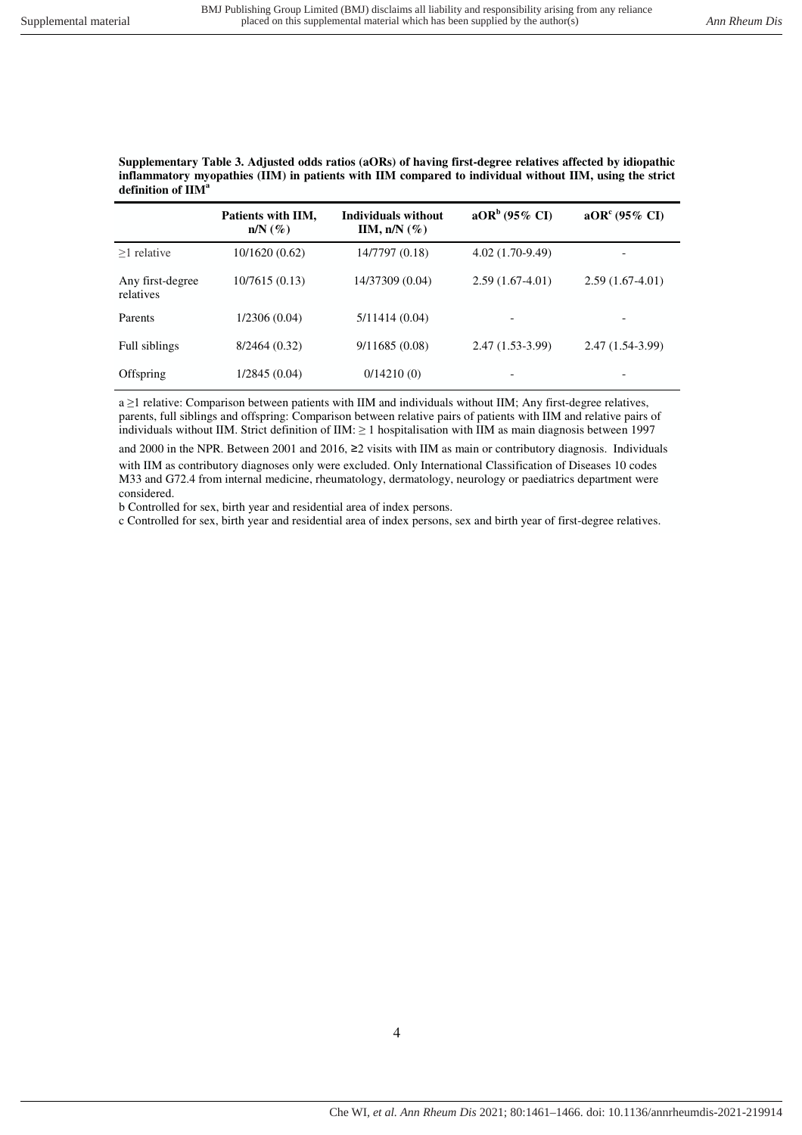#### **Supplementary Table 3. Adjusted odds ratios (aORs) of having first-degree relatives affected by idiopathic inflammatory myopathies (IIM) in patients with IIM compared to individual without IIM, using the strict definition of IIM<sup>a</sup>**

|                               | Patients with IIM,<br>$n/N$ $(\%)$ | <b>Individuals without</b><br>IIM, $n/N$ (%) | $aORb$ (95% CI)          | $aORc (95\% CI)$         |
|-------------------------------|------------------------------------|----------------------------------------------|--------------------------|--------------------------|
| $>1$ relative                 | 10/1620 (0.62)                     | 14/7797 (0.18)                               | $4.02(1.70-9.49)$        |                          |
| Any first-degree<br>relatives | 10/7615(0.13)                      | 14/37309 (0.04)                              | $2.59(1.67-4.01)$        | $2.59(1.67-4.01)$        |
| Parents                       | 1/2306(0.04)                       | 5/11414(0.04)                                | $\overline{\phantom{a}}$ | $\overline{\phantom{a}}$ |
| Full siblings                 | 8/2464(0.32)                       | 9/11685(0.08)                                | $2.47(1.53-3.99)$        | $2.47(1.54-3.99)$        |
| Offspring                     | 1/2845 (0.04)                      | 0/14210(0)                                   |                          |                          |

a ≥1 relative: Comparison between patients with IIM and individuals without IIM; Any first-degree relatives, parents, full siblings and offspring: Comparison between relative pairs of patients with IIM and relative pairs of individuals without IIM. Strict definition of IIM: ≥ 1 hospitalisation with IIM as main diagnosis between 1997

and 2000 in the NPR. Between 2001 and 2016, ≥2 visits with IIM as main or contributory diagnosis. Individuals with IIM as contributory diagnoses only were excluded. Only International Classification of Diseases 10 codes M33 and G72.4 from internal medicine, rheumatology, dermatology, neurology or paediatrics department were considered.

b Controlled for sex, birth year and residential area of index persons.

c Controlled for sex, birth year and residential area of index persons, sex and birth year of first-degree relatives.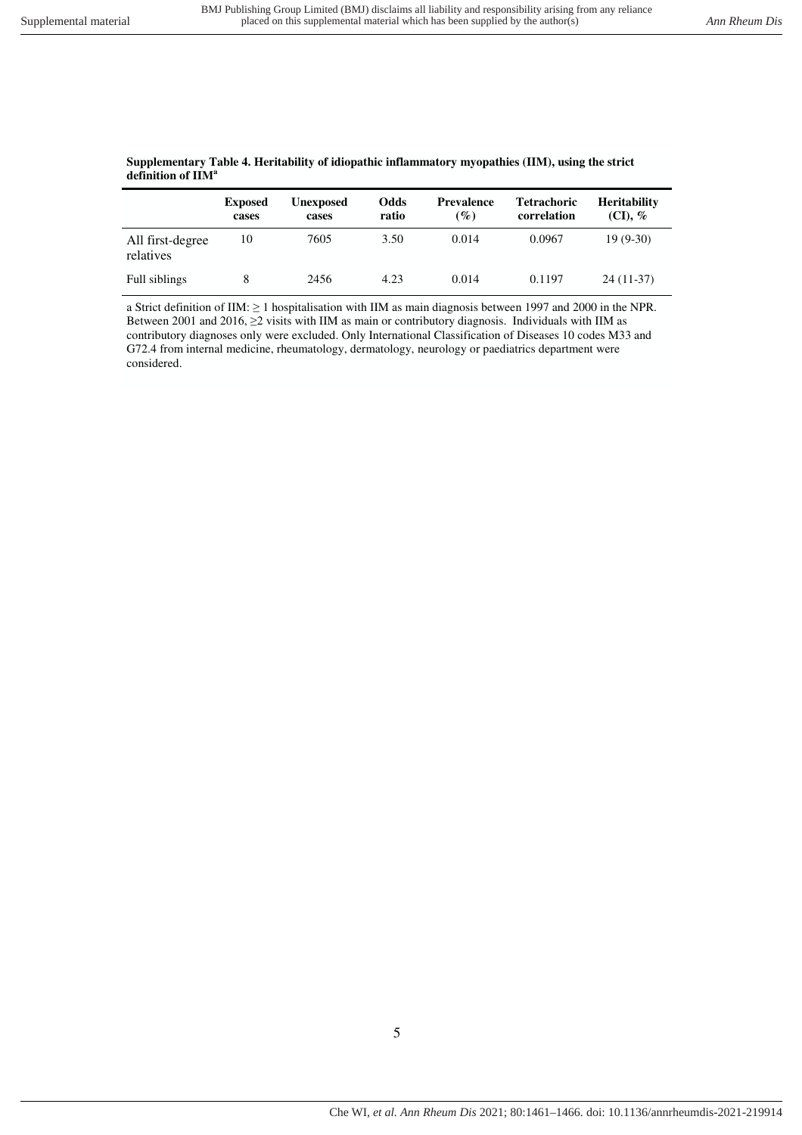|                               | <b>Exposed</b><br>cases | <b>Unexposed</b><br>cases | Odds<br>ratio | <b>Prevalence</b><br>$\left( \frac{\%}{\%} \right)$ | <b>Tetrachoric</b><br>correlation | <b>Heritability</b><br>$(CI), \mathcal{C}$ |
|-------------------------------|-------------------------|---------------------------|---------------|-----------------------------------------------------|-----------------------------------|--------------------------------------------|
| All first-degree<br>relatives | 10                      | 7605                      | 3.50          | 0.014                                               | 0.0967                            | $19(9-30)$                                 |
| Full siblings                 |                         | 2456                      | 4.23          | 0.014                                               | 0.1197                            | $24(11-37)$                                |

### **Supplementary Table 4. Heritability of idiopathic inflammatory myopathies (IIM), using the strict definition of IIM<sup>a</sup>**

a Strict definition of IIM: ≥ 1 hospitalisation with IIM as main diagnosis between 1997 and 2000 in the NPR. Between 2001 and 2016, ≥2 visits with IIM as main or contributory diagnosis. Individuals with IIM as contributory diagnoses only were excluded. Only International Classification of Diseases 10 codes M33 and G72.4 from internal medicine, rheumatology, dermatology, neurology or paediatrics department were considered.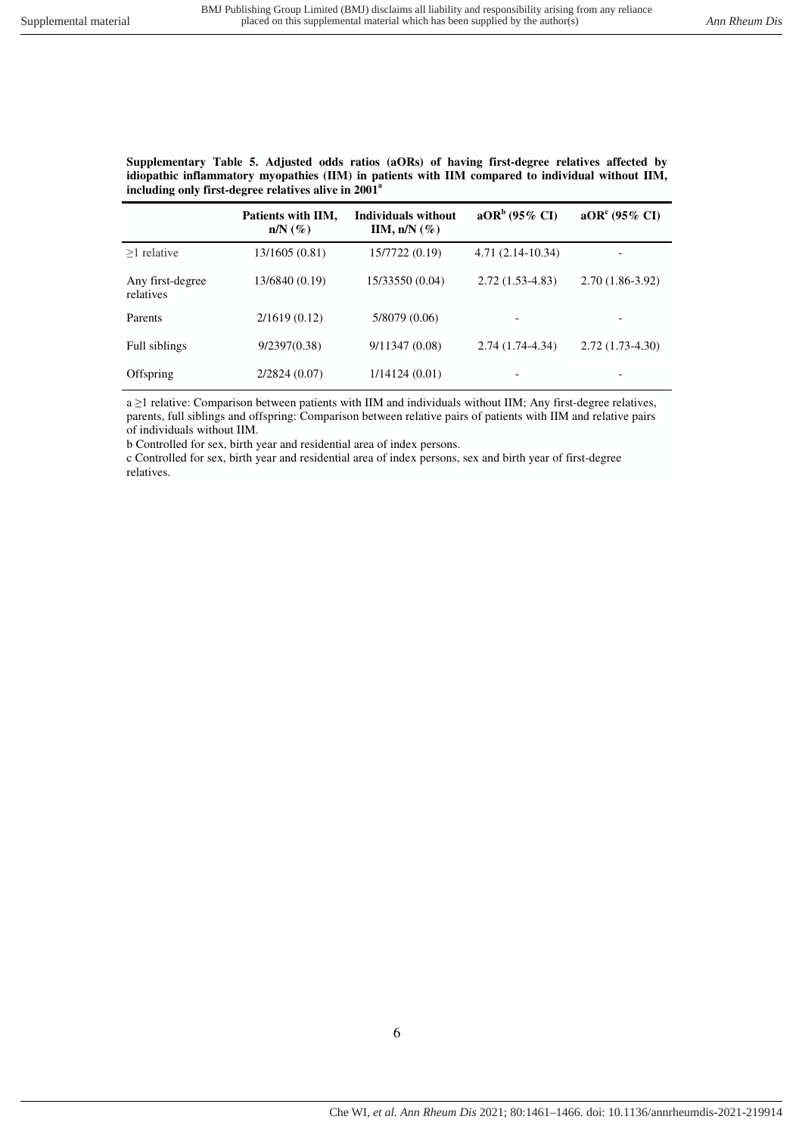**Supplementary Table 5. Adjusted odds ratios (aORs) of having first-degree relatives affected by idiopathic inflammatory myopathies (IIM) in patients with IIM compared to individual without IIM, including only first-degree relatives alive in 2001<sup>a</sup>**

|                               | Patients with IIM,<br>$n/N$ $(\%)$ | Individuals without<br>IIM, $n/N$ (%) | $aORb$ (95% CI)    | $aORc (95\% CI)$  |
|-------------------------------|------------------------------------|---------------------------------------|--------------------|-------------------|
| $>1$ relative                 | 13/1605 (0.81)                     | 15/7722 (0.19)                        | $4.71(2.14-10.34)$ |                   |
| Any first-degree<br>relatives | 13/6840 (0.19)                     | 15/33550 (0.04)                       | $2.72(1.53-4.83)$  | $2.70(1.86-3.92)$ |
| Parents                       | 2/1619(0.12)                       | 5/8079 (0.06)                         |                    |                   |
| Full siblings                 | 9/2397(0.38)                       | 9/11347(0.08)                         | $2.74(1.74-4.34)$  | $2.72(1.73-4.30)$ |
| Offspring                     | 2/2824 (0.07)                      | 1/14124(0.01)                         |                    |                   |

a ≥1 relative: Comparison between patients with IIM and individuals without IIM; Any first-degree relatives, parents, full siblings and offspring: Comparison between relative pairs of patients with IIM and relative pairs of individuals without IIM.

b Controlled for sex, birth year and residential area of index persons.

c Controlled for sex, birth year and residential area of index persons, sex and birth year of first-degree relatives.

6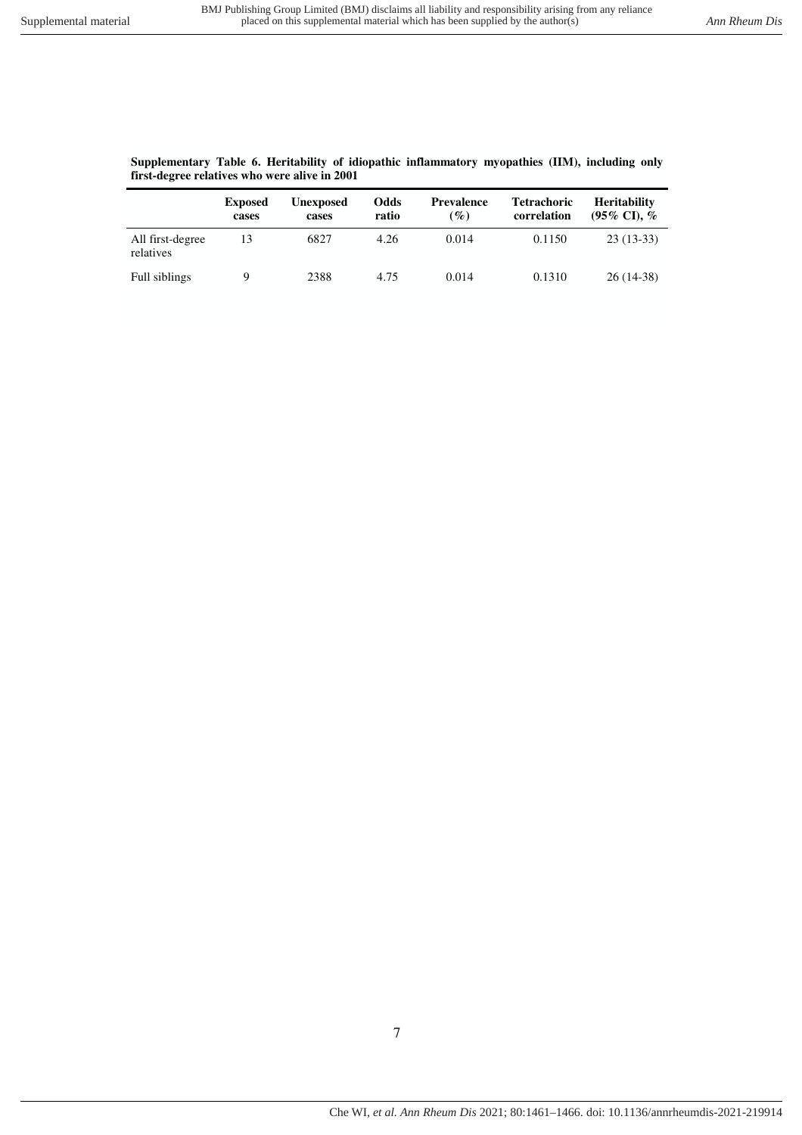### **Supplementary Table 6. Heritability of idiopathic inflammatory myopathies (IIM), including only first-degree relatives who were alive in 2001**

|                               | <b>Exposed</b><br>cases | Unexposed<br>cases | Odds<br>ratio | <b>Prevalence</b><br>$\left( \frac{\%}{\%} \right)$ | <b>Tetrachoric</b><br>correlation | <b>Heritability</b><br>$(95\% \text{ CI})$ , $\%$ |
|-------------------------------|-------------------------|--------------------|---------------|-----------------------------------------------------|-----------------------------------|---------------------------------------------------|
| All first-degree<br>relatives |                         | 6827               | 4.26          | 0.014                                               | 0.1150                            | $23(13-33)$                                       |
| Full siblings                 |                         | 2388               | 4.75          | 0.014                                               | 0.1310                            | $26(14-38)$                                       |